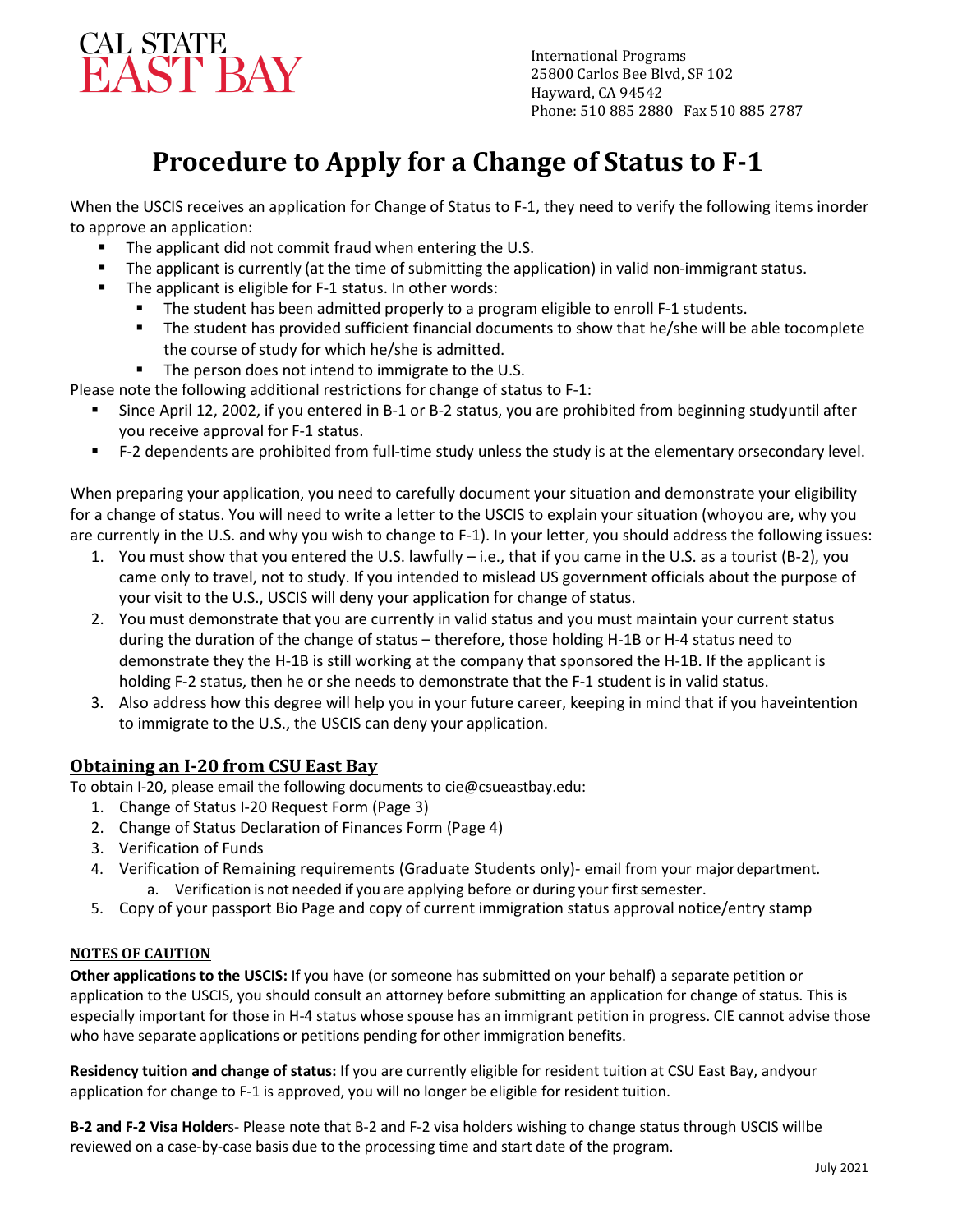

 Phone: 510 885 2880 Fax 510 885 2787International Programs 25800 Carlos Bee Blvd, SF 102 Hayward, CA 94542

# **Procedure to Apply for a Change of Status to F-1**

When the USCIS receives an application for Change of Status to F-1, they need to verify the following items inorder to approve an application:

- The applicant did not commit fraud when entering the U.S.
- The applicant is currently (at the time of submitting the application) in valid non-immigrant status.
- **The applicant is eligible for F-1 status. In other words:** 
	- **The student has been admitted properly to a program eligible to enroll F-1 students.**
	- The student has provided sufficient financial documents to show that he/she will be able tocomplete the course of study for which he/she is admitted.
	- The person does not intend to immigrate to the U.S.

Please note the following additional restrictions for change of status to F-1:

- Since April 12, 2002, if you entered in B-1 or B-2 status, you are prohibited from beginning studyuntil after you receive approval for F-1 status.
- F-2 dependents are prohibited from full-time study unless the study is at the elementary orsecondary level.

When preparing your application, you need to carefully document your situation and demonstrate your eligibility for a change of status. You will need to write a letter to the USCIS to explain your situation (whoyou are, why you are currently in the U.S. and why you wish to change to F-1). In your letter, you should address the following issues:

- 1. You must show that you entered the U.S. lawfully i.e., that if you came in the U.S. as a tourist (B-2), you came only to travel, not to study. If you intended to mislead US government officials about the purpose of your visit to the U.S., USCIS will deny your application for change of status.
- 2. You must demonstrate that you are currently in valid status and you must maintain your current status during the duration of the change of status – therefore, those holding H-1B or H-4 status need to demonstrate they the H-1B is still working at the company that sponsored the H-1B. If the applicant is holding F-2 status, then he or she needs to demonstrate that the F-1 student is in valid status.
- 3. Also address how this degree will help you in your future career, keeping in mind that if you haveintention to immigrate to the U.S., the USCIS can deny your application.

## **Obtaining an I-20 from CSU East Bay**

To obtain I-20, please email the following documents to [cie@csueastbay.edu:](mailto:cie@csueastbay.edu)

- 1. Change of Status I-20 Request Form (Page 3)
- 2. Change of Status Declaration of Finances Form (Page 4)
- 3. Verification of Funds
- 4. Verification of Remaining requirements (Graduate Students only)- email from your major department. a. Verification is not needed if you are applying before or during your first semester.
- 5. Copy of your passport Bio Page and copy of current immigration status approval notice/entry stamp

#### **NOTES OF CAUTION**

**Other applications to the USCIS:** If you have (or someone has submitted on your behalf) a separate petition or application to the USCIS, you should consult an attorney before submitting an application for change of status. This is especially important for those in H-4 status whose spouse has an immigrant petition in progress. CIE cannot advise those who have separate applications or petitions pending for other immigration benefits.

**Residency tuition and change of status:** If you are currently eligible for resident tuition at CSU East Bay, andyour application for change to F-1 is approved, you will no longer be eligible for resident tuition.

**B-2 and F-2 Visa Holder**s- Please note that B-2 and F-2 visa holders wishing to change status through USCIS willbe reviewed on a case-by-case basis due to the processing time and start date of the program.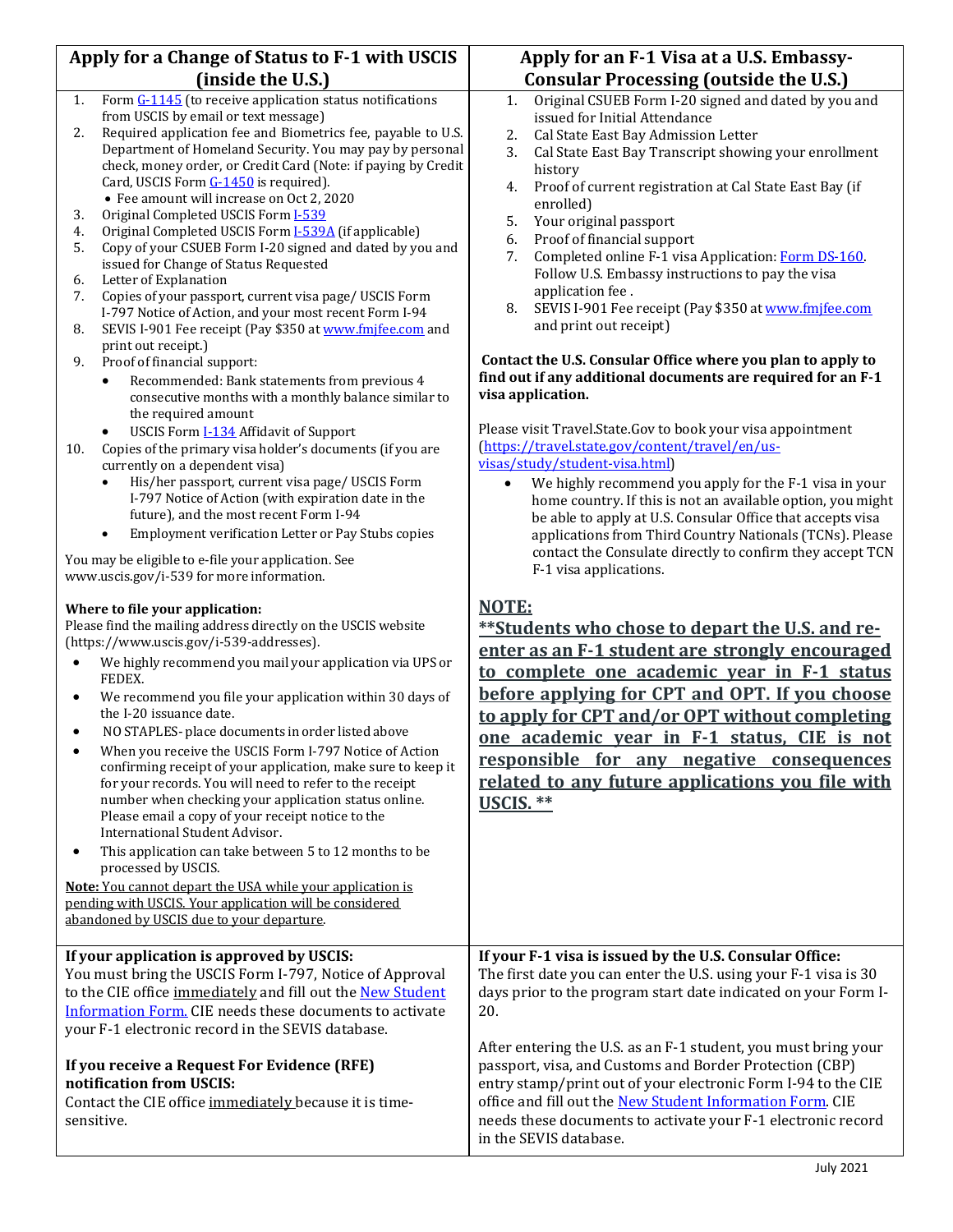| Apply for a Change of Status to F-1 with USCIS |                                                                                                                     | Apply for an F-1 Visa at a U.S. Embassy-                                                                                    |  |
|------------------------------------------------|---------------------------------------------------------------------------------------------------------------------|-----------------------------------------------------------------------------------------------------------------------------|--|
| (inside the U.S.)                              |                                                                                                                     | <b>Consular Processing (outside the U.S.)</b>                                                                               |  |
| 1.                                             | Form G-1145 (to receive application status notifications<br>from USCIS by email or text message)                    | Original CSUEB Form I-20 signed and dated by you and<br>1.                                                                  |  |
| 2.                                             | Required application fee and Biometrics fee, payable to U.S.                                                        | issued for Initial Attendance<br>Cal State East Bay Admission Letter                                                        |  |
|                                                | Department of Homeland Security. You may pay by personal                                                            | 2.<br>3.<br>Cal State East Bay Transcript showing your enrollment                                                           |  |
|                                                | check, money order, or Credit Card (Note: if paying by Credit                                                       | history                                                                                                                     |  |
|                                                | Card, USCIS Form G-1450 is required).                                                                               | Proof of current registration at Cal State East Bay (if<br>4.                                                               |  |
|                                                | • Fee amount will increase on Oct 2, 2020                                                                           | enrolled)                                                                                                                   |  |
| 3.                                             | Original Completed USCIS Form I-539                                                                                 | 5.<br>Your original passport                                                                                                |  |
| 4.                                             | Original Completed USCIS Form <b>I-539A</b> (if applicable)                                                         | Proof of financial support<br>6.                                                                                            |  |
| 5.                                             | Copy of your CSUEB Form I-20 signed and dated by you and<br>issued for Change of Status Requested                   | 7.<br>Completed online F-1 visa Application: Form DS-160.                                                                   |  |
| 6.                                             | Letter of Explanation                                                                                               | Follow U.S. Embassy instructions to pay the visa                                                                            |  |
| 7.                                             | Copies of your passport, current visa page/ USCIS Form                                                              | application fee.                                                                                                            |  |
|                                                | I-797 Notice of Action, and your most recent Form I-94                                                              | 8.<br>SEVIS I-901 Fee receipt (Pay \$350 at www.fmjfee.com                                                                  |  |
| 8.                                             | SEVIS I-901 Fee receipt (Pay \$350 at www.fmjfee.com and                                                            | and print out receipt)                                                                                                      |  |
|                                                | print out receipt.)                                                                                                 |                                                                                                                             |  |
| 9.                                             | Proof of financial support:                                                                                         | Contact the U.S. Consular Office where you plan to apply to<br>find out if any additional documents are required for an F-1 |  |
|                                                | Recommended: Bank statements from previous 4<br>$\bullet$<br>consecutive months with a monthly balance similar to   | visa application.                                                                                                           |  |
|                                                | the required amount                                                                                                 |                                                                                                                             |  |
|                                                | USCIS Form I-134 Affidavit of Support                                                                               | Please visit Travel.State.Gov to book your visa appointment                                                                 |  |
| 10.                                            | Copies of the primary visa holder's documents (if you are                                                           | (https://travel.state.gov/content/travel/en/us-                                                                             |  |
|                                                | currently on a dependent visa)                                                                                      | visas/study/student-visa.html)                                                                                              |  |
|                                                | His/her passport, current visa page/ USCIS Form<br>$\bullet$<br>I-797 Notice of Action (with expiration date in the | We highly recommend you apply for the F-1 visa in your<br>$\bullet$                                                         |  |
|                                                | future), and the most recent Form I-94                                                                              | home country. If this is not an available option, you might                                                                 |  |
|                                                | Employment verification Letter or Pay Stubs copies<br>$\bullet$                                                     | be able to apply at U.S. Consular Office that accepts visa<br>applications from Third Country Nationals (TCNs). Please      |  |
|                                                |                                                                                                                     | contact the Consulate directly to confirm they accept TCN                                                                   |  |
|                                                | You may be eligible to e-file your application. See                                                                 | F-1 visa applications.                                                                                                      |  |
|                                                | www.uscis.gov/i-539 for more information.                                                                           |                                                                                                                             |  |
|                                                | Where to file your application:                                                                                     | <b>NOTE:</b>                                                                                                                |  |
|                                                | Please find the mailing address directly on the USCIS website                                                       | **Students who chose to depart the U.S. and re-                                                                             |  |
|                                                | (https://www.uscis.gov/i-539-addresses).                                                                            |                                                                                                                             |  |
| $\bullet$                                      | We highly recommend you mail your application via UPS or                                                            | enter as an F-1 student are strongly encouraged                                                                             |  |
|                                                | FEDEX.                                                                                                              | to complete one academic vear in F-1 status                                                                                 |  |
| ٠                                              | We recommend you file your application within 30 days of                                                            | before applying for CPT and OPT. If you choose                                                                              |  |
|                                                | the I-20 issuance date.                                                                                             | to apply for CPT and/or OPT without completing                                                                              |  |
| $\bullet$                                      | NO STAPLES- place documents in order listed above                                                                   | one academic vear in F-1 status, CIE is not                                                                                 |  |
|                                                | When you receive the USCIS Form I-797 Notice of Action                                                              | responsible for any negative consequences                                                                                   |  |
|                                                | confirming receipt of your application, make sure to keep it                                                        | related to any future applications you file with                                                                            |  |
|                                                | for your records. You will need to refer to the receipt<br>number when checking your application status online.     |                                                                                                                             |  |
|                                                | Please email a copy of your receipt notice to the                                                                   | USCIS. **                                                                                                                   |  |
|                                                | International Student Advisor.                                                                                      |                                                                                                                             |  |
| ٠                                              | This application can take between 5 to 12 months to be<br>processed by USCIS.                                       |                                                                                                                             |  |
|                                                | Note: You cannot depart the USA while your application is                                                           |                                                                                                                             |  |
|                                                | pending with USCIS. Your application will be considered                                                             |                                                                                                                             |  |
|                                                | abandoned by USCIS due to your departure.                                                                           |                                                                                                                             |  |
|                                                |                                                                                                                     |                                                                                                                             |  |
|                                                | If your application is approved by USCIS:                                                                           | If your F-1 visa is issued by the U.S. Consular Office:                                                                     |  |
|                                                | You must bring the USCIS Form I-797, Notice of Approval                                                             | The first date you can enter the U.S. using your F-1 visa is 30                                                             |  |
|                                                | to the CIE office immediately and fill out the New Student                                                          | days prior to the program start date indicated on your Form I-                                                              |  |
|                                                | Information Form. CIE needs these documents to activate                                                             | 20.                                                                                                                         |  |
|                                                | your F-1 electronic record in the SEVIS database.                                                                   |                                                                                                                             |  |
|                                                |                                                                                                                     | After entering the U.S. as an F-1 student, you must bring your                                                              |  |
| If you receive a Request For Evidence (RFE)    |                                                                                                                     | passport, visa, and Customs and Border Protection (CBP)                                                                     |  |
|                                                | notification from USCIS:                                                                                            | entry stamp/print out of your electronic Form I-94 to the CIE                                                               |  |
|                                                | Contact the CIE office immediately because it is time-                                                              | office and fill out the New Student Information Form. CIE                                                                   |  |
|                                                | sensitive.                                                                                                          | needs these documents to activate your F-1 electronic record                                                                |  |
|                                                |                                                                                                                     | in the SEVIS database.                                                                                                      |  |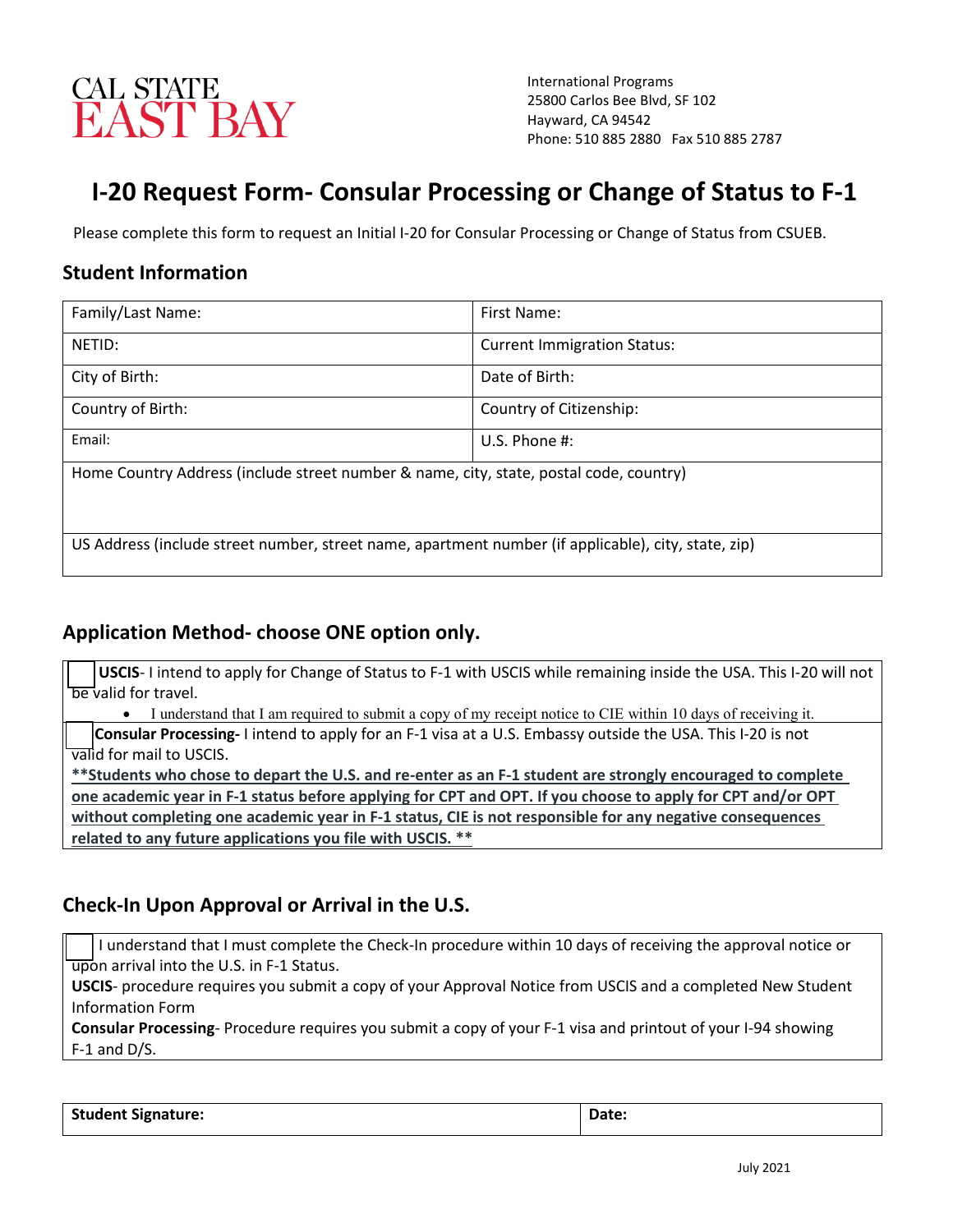

International Programs 25800 Carlos Bee Blvd, SF 102 Hayward, CA 94542 Phone: 510 885 2880 Fax 510 885 2787

## **I-20 Request Form- Consular Processing or Change of Status to F-1**

Please complete this form to request an Initial I-20 for Consular Processing or Change of Status from CSUEB.

## **Student Information**

| Family/Last Name:                                                                                   | First Name:                        |  |  |  |  |
|-----------------------------------------------------------------------------------------------------|------------------------------------|--|--|--|--|
| NETID:                                                                                              | <b>Current Immigration Status:</b> |  |  |  |  |
| City of Birth:                                                                                      | Date of Birth:                     |  |  |  |  |
| Country of Birth:                                                                                   | Country of Citizenship:            |  |  |  |  |
| Email:                                                                                              | U.S. Phone $#$ :                   |  |  |  |  |
| Home Country Address (include street number & name, city, state, postal code, country)              |                                    |  |  |  |  |
| US Address (include street number, street name, apartment number (if applicable), city, state, zip) |                                    |  |  |  |  |

## **Application Method- choose ONE option only.**

 **USCIS**- I intend to apply for Change of Status to F-1 with USCIS while remaining inside the USA. This I-20 will not **be** valid for travel.

• I understand that I am required to submit a copy of my receipt notice to CIE within 10 days of receiving it.

 **Consular Processing-** I intend to apply for an F-1 visa at a U.S. Embassy outside the USA. This I-20 is not valid for mail to USCIS.

**\*\*Students who chose to depart the U.S. and re-enter as an F-1 student are strongly encouraged to complete one academic year in F-1 status before applying for CPT and OPT. If you choose to apply for CPT and/or OPT without completing one academic year in F-1 status, CIE is not responsible for any negative consequences related to any future applications you file with USCIS. \*\***

## **Check-In Upon Approval or Arrival in the U.S.**

 I understand that I must complete the Check-In procedure within 10 days of receiving the approval notice or upon arrival into the U.S. in F-1 Status.

**USCIS**- procedure requires you submit a copy of your Approval Notice from USCIS and a completed New Student Information Form

**Consular Processing**- Procedure requires you submit a copy of your F-1 visa and printout of your I-94 showing F-1 and D/S.

Student Signature:  $\vert$  Date: